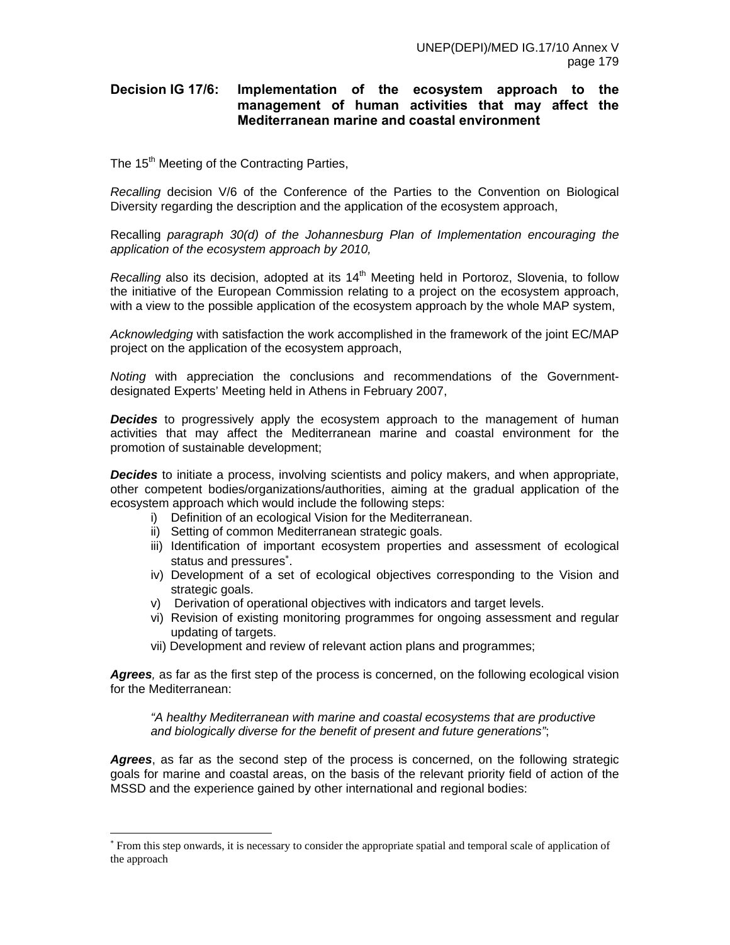## **Decision IG 17/6: Implementation of the ecosystem approach to the management of human activities that may affect the Mediterranean marine and coastal environment**

The 15<sup>th</sup> Meeting of the Contracting Parties,

*Recalling* decision V/6 of the Conference of the Parties to the Convention on Biological Diversity regarding the description and the application of the ecosystem approach,

Recalling *paragraph 30(d) of the Johannesburg Plan of Implementation encouraging the application of the ecosystem approach by 2010,* 

*Recalling* also its decision, adopted at its 14<sup>th</sup> Meeting held in Portoroz, Slovenia, to follow the initiative of the European Commission relating to a project on the ecosystem approach, with a view to the possible application of the ecosystem approach by the whole MAP system,

*Acknowledging* with satisfaction the work accomplished in the framework of the joint EC/MAP project on the application of the ecosystem approach,

*Noting* with appreciation the conclusions and recommendations of the Governmentdesignated Experts' Meeting held in Athens in February 2007,

**Decides** to progressively apply the ecosystem approach to the management of human activities that may affect the Mediterranean marine and coastal environment for the promotion of sustainable development;

*Decides* to initiate a process, involving scientists and policy makers, and when appropriate, other competent bodies/organizations/authorities, aiming at the gradual application of the ecosystem approach which would include the following steps:

- i) Definition of an ecological Vision for the Mediterranean.
- ii) Setting of common Mediterranean strategic goals.

-

- iii) Identification of important ecosystem properties and assessment of ecological status and pressures<sup>\*</sup>.
- iv) Development of a set of ecological objectives corresponding to the Vision and strategic goals.
- v) Derivation of operational objectives with indicators and target levels.
- vi) Revision of existing monitoring programmes for ongoing assessment and regular updating of targets.
- vii) Development and review of relevant action plans and programmes;

*Agrees,* as far as the first step of the process is concerned, on the following ecological vision for the Mediterranean:

*"A healthy Mediterranean with marine and coastal ecosystems that are productive and biologically diverse for the benefit of present and future generations"*;

*Agrees*, as far as the second step of the process is concerned, on the following strategic goals for marine and coastal areas, on the basis of the relevant priority field of action of the MSSD and the experience gained by other international and regional bodies:

<sup>∗</sup> From this step onwards, it is necessary to consider the appropriate spatial and temporal scale of application of the approach